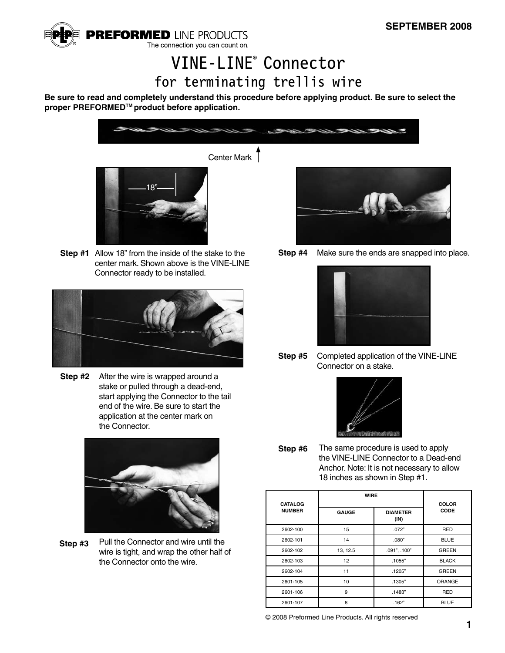

## VINE-LINE® Connector for terminating trellis wire

**Be sure to read and completely understand this procedure before applying product. Be sure to select the**  proper PREFORMED<sup>™</sup> product before application.



Center Mark



**Step #1** Allow 18" from the inside of the stake to the center mark. Shown above is the VINE-LINE Connector ready to be installed.



**Step #2** After the wire is wrapped around a stake or pulled through a dead-end, start applying the Connector to the tail end of the wire. Be sure to start the application at the center mark on the Connector.



**Step #3** Pull the Connector and wire until the wire is tight, and wrap the other half of the Connector onto the wire.



**Step #4** Make sure the ends are snapped into place.



**Step #5** Completed application of the VINE-LINE Connector on a stake.



**Step #6** The same procedure is used to apply the VINE-LINE Connector to a Dead-end Anchor. Note: It is not necessary to allow 18 inches as shown in Step #1.

| <b>CATALOG</b><br><b>NUMBER</b> | <b>WIRE</b>     |                         | <b>COLOR</b>  |
|---------------------------------|-----------------|-------------------------|---------------|
|                                 | <b>GAUGE</b>    | <b>DIAMETER</b><br>(IN) | CODE          |
| 2602-100                        | 15              | .072"                   | <b>RED</b>    |
| 2602-101                        | 14              | .080"                   | <b>BLUE</b>   |
| 2602-102                        | 13, 12.5        | .091", .100"            | <b>GREEN</b>  |
| 2602-103                        | 12 <sup>2</sup> | .1055"                  | <b>BLACK</b>  |
| 2602-104                        | 11              | .1205"                  | <b>GREEN</b>  |
| 2601-105                        | 10              | .1305"                  | <b>ORANGE</b> |
| 2601-106                        | 9               | .1483"                  | <b>RED</b>    |
| 2601-107                        | 8               | .162"                   | <b>BLUE</b>   |

© 2008 Preformed Line Products. All rights reserved